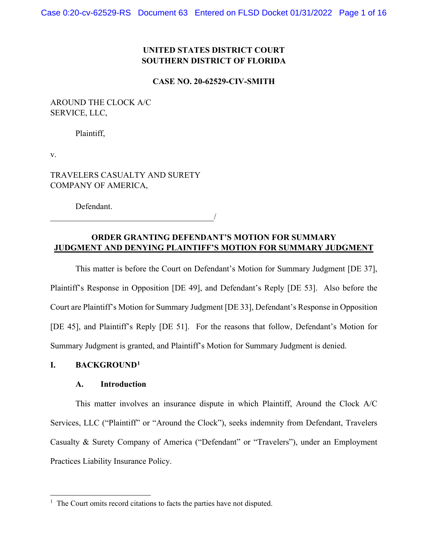# **UNITED STATES DISTRICT COURT SOUTHERN DISTRICT OF FLORIDA**

#### **CASE NO. 20-62529-CIV-SMITH**

# AROUND THE CLOCK A/C SERVICE, LLC,

Plaintiff,

v.

TRAVELERS CASUALTY AND SURETY COMPANY OF AMERICA,

 $\overline{\phantom{a}}$ 

Defendant.

# **ORDER GRANTING DEFENDANT'S MOTION FOR SUMMARY JUDGMENT AND DENYING PLAINTIFF'S MOTION FOR SUMMARY JUDGMENT**

This matter is before the Court on Defendant's Motion for Summary Judgment [DE 37], Plaintiff's Response in Opposition [DE 49], and Defendant's Reply [DE 53]. Also before the Court are Plaintiff's Motion for Summary Judgment [DE 33], Defendant's Response in Opposition [DE 45], and Plaintiff's Reply [DE 51]. For the reasons that follow, Defendant's Motion for Summary Judgment is granted, and Plaintiff's Motion for Summary Judgment is denied.

# **I. BACKGROUND1**

### **A. Introduction**

This matter involves an insurance dispute in which Plaintiff, Around the Clock A/C Services, LLC ("Plaintiff" or "Around the Clock"), seeks indemnity from Defendant, Travelers Casualty & Surety Company of America ("Defendant" or "Travelers"), under an Employment Practices Liability Insurance Policy.

 $<sup>1</sup>$  The Court omits record citations to facts the parties have not disputed.</sup>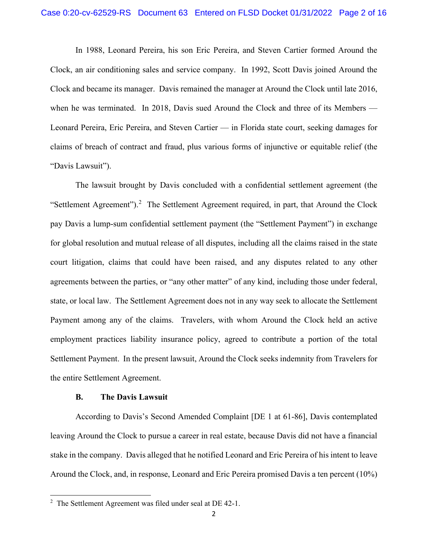In 1988, Leonard Pereira, his son Eric Pereira, and Steven Cartier formed Around the Clock, an air conditioning sales and service company. In 1992, Scott Davis joined Around the Clock and became its manager. Davis remained the manager at Around the Clock until late 2016, when he was terminated. In 2018, Davis sued Around the Clock and three of its Members — Leonard Pereira, Eric Pereira, and Steven Cartier — in Florida state court, seeking damages for claims of breach of contract and fraud, plus various forms of injunctive or equitable relief (the "Davis Lawsuit").

The lawsuit brought by Davis concluded with a confidential settlement agreement (the "Settlement Agreement").<sup>2</sup> The Settlement Agreement required, in part, that Around the Clock pay Davis a lump-sum confidential settlement payment (the "Settlement Payment") in exchange for global resolution and mutual release of all disputes, including all the claims raised in the state court litigation, claims that could have been raised, and any disputes related to any other agreements between the parties, or "any other matter" of any kind, including those under federal, state, or local law. The Settlement Agreement does not in any way seek to allocate the Settlement Payment among any of the claims. Travelers, with whom Around the Clock held an active employment practices liability insurance policy, agreed to contribute a portion of the total Settlement Payment. In the present lawsuit, Around the Clock seeks indemnity from Travelers for the entire Settlement Agreement.

## **B. The Davis Lawsuit**

According to Davis's Second Amended Complaint [DE 1 at 61-86], Davis contemplated leaving Around the Clock to pursue a career in real estate, because Davis did not have a financial stake in the company. Davis alleged that he notified Leonard and Eric Pereira of his intent to leave Around the Clock, and, in response, Leonard and Eric Pereira promised Davis a ten percent (10%)

<sup>&</sup>lt;sup>2</sup> The Settlement Agreement was filed under seal at DE 42-1.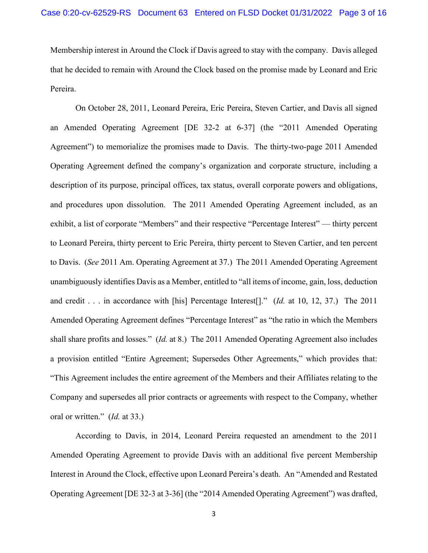Membership interest in Around the Clock if Davis agreed to stay with the company. Davis alleged that he decided to remain with Around the Clock based on the promise made by Leonard and Eric Pereira.

On October 28, 2011, Leonard Pereira, Eric Pereira, Steven Cartier, and Davis all signed an Amended Operating Agreement [DE 32-2 at 6-37] (the "2011 Amended Operating Agreement") to memorialize the promises made to Davis. The thirty-two-page 2011 Amended Operating Agreement defined the company's organization and corporate structure, including a description of its purpose, principal offices, tax status, overall corporate powers and obligations, and procedures upon dissolution. The 2011 Amended Operating Agreement included, as an exhibit, a list of corporate "Members" and their respective "Percentage Interest" — thirty percent to Leonard Pereira, thirty percent to Eric Pereira, thirty percent to Steven Cartier, and ten percent to Davis. (*See* 2011 Am. Operating Agreement at 37.) The 2011 Amended Operating Agreement unambiguously identifies Davis as a Member, entitled to "all items of income, gain, loss, deduction and credit . . . in accordance with [his] Percentage Interest[]." (*Id.* at 10, 12, 37.) The 2011 Amended Operating Agreement defines "Percentage Interest" as "the ratio in which the Members shall share profits and losses." (*Id.* at 8.) The 2011 Amended Operating Agreement also includes a provision entitled "Entire Agreement; Supersedes Other Agreements," which provides that: "This Agreement includes the entire agreement of the Members and their Affiliates relating to the Company and supersedes all prior contracts or agreements with respect to the Company, whether oral or written." (*Id.* at 33.)

According to Davis, in 2014, Leonard Pereira requested an amendment to the 2011 Amended Operating Agreement to provide Davis with an additional five percent Membership Interest in Around the Clock, effective upon Leonard Pereira's death. An "Amended and Restated Operating Agreement [DE 32-3 at 3-36] (the "2014 Amended Operating Agreement") was drafted,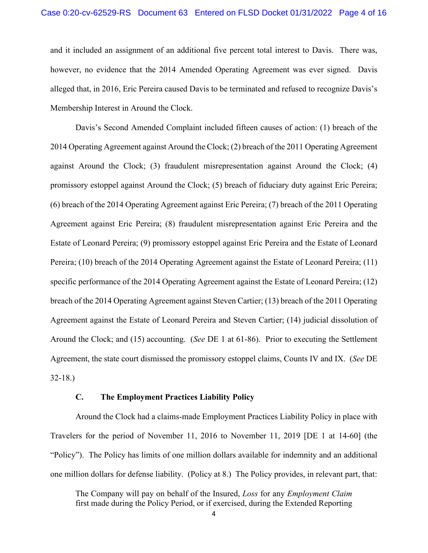and it included an assignment of an additional five percent total interest to Davis. There was, however, no evidence that the 2014 Amended Operating Agreement was ever signed. Davis alleged that, in 2016, Eric Pereira caused Davis to be terminated and refused to recognize Davis's Membership Interest in Around the Clock.

Davis's Second Amended Complaint included fifteen causes of action: (1) breach of the 2014 Operating Agreement against Around the Clock; (2) breach of the 2011 Operating Agreement against Around the Clock; (3) fraudulent misrepresentation against Around the Clock; (4) promissory estoppel against Around the Clock; (5) breach of fiduciary duty against Eric Pereira; (6) breach of the 2014 Operating Agreement against Eric Pereira; (7) breach of the 2011 Operating Agreement against Eric Pereira; (8) fraudulent misrepresentation against Eric Pereira and the Estate of Leonard Pereira; (9) promissory estoppel against Eric Pereira and the Estate of Leonard Pereira; (10) breach of the 2014 Operating Agreement against the Estate of Leonard Pereira; (11) specific performance of the 2014 Operating Agreement against the Estate of Leonard Pereira; (12) breach of the 2014 Operating Agreement against Steven Cartier; (13) breach of the 2011 Operating Agreement against the Estate of Leonard Pereira and Steven Cartier; (14) judicial dissolution of Around the Clock; and (15) accounting. (*See* DE 1 at 61-86). Prior to executing the Settlement Agreement, the state court dismissed the promissory estoppel claims, Counts IV and IX. (*See* DE 32-18.)

# **C. The Employment Practices Liability Policy**

Around the Clock had a claims-made Employment Practices Liability Policy in place with Travelers for the period of November 11, 2016 to November 11, 2019 [DE 1 at 14-60] (the "Policy"). The Policy has limits of one million dollars available for indemnity and an additional one million dollars for defense liability. (Policy at 8.) The Policy provides, in relevant part, that:

The Company will pay on behalf of the Insured, *Loss* for any *Employment Claim* first made during the Policy Period, or if exercised, during the Extended Reporting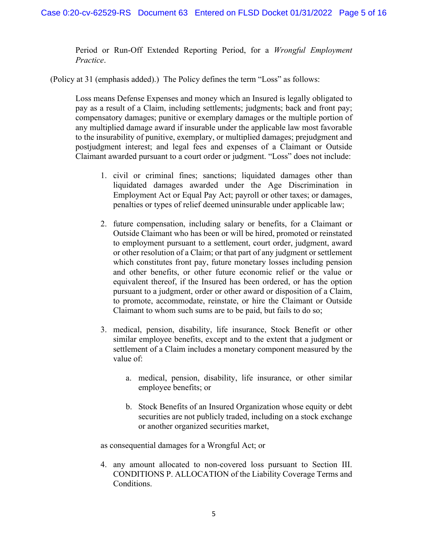Period or Run-Off Extended Reporting Period, for a *Wrongful Employment Practice*.

(Policy at 31 (emphasis added).) The Policy defines the term "Loss" as follows:

Loss means Defense Expenses and money which an Insured is legally obligated to pay as a result of a Claim, including settlements; judgments; back and front pay; compensatory damages; punitive or exemplary damages or the multiple portion of any multiplied damage award if insurable under the applicable law most favorable to the insurability of punitive, exemplary, or multiplied damages; prejudgment and postjudgment interest; and legal fees and expenses of a Claimant or Outside Claimant awarded pursuant to a court order or judgment. "Loss" does not include:

- 1. civil or criminal fines; sanctions; liquidated damages other than liquidated damages awarded under the Age Discrimination in Employment Act or Equal Pay Act; payroll or other taxes; or damages, penalties or types of relief deemed uninsurable under applicable law;
- 2. future compensation, including salary or benefits, for a Claimant or Outside Claimant who has been or will be hired, promoted or reinstated to employment pursuant to a settlement, court order, judgment, award or other resolution of a Claim; or that part of any judgment or settlement which constitutes front pay, future monetary losses including pension and other benefits, or other future economic relief or the value or equivalent thereof, if the Insured has been ordered, or has the option pursuant to a judgment, order or other award or disposition of a Claim, to promote, accommodate, reinstate, or hire the Claimant or Outside Claimant to whom such sums are to be paid, but fails to do so;
- 3. medical, pension, disability, life insurance, Stock Benefit or other similar employee benefits, except and to the extent that a judgment or settlement of a Claim includes a monetary component measured by the value of:
	- a. medical, pension, disability, life insurance, or other similar employee benefits; or
	- b. Stock Benefits of an Insured Organization whose equity or debt securities are not publicly traded, including on a stock exchange or another organized securities market,

as consequential damages for a Wrongful Act; or

4. any amount allocated to non-covered loss pursuant to Section III. CONDITIONS P. ALLOCATION of the Liability Coverage Terms and Conditions.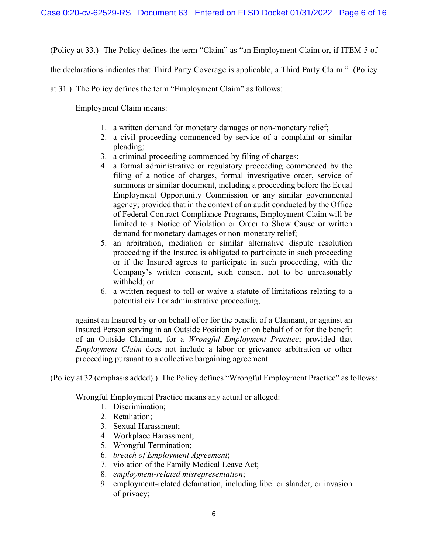(Policy at 33.) The Policy defines the term "Claim" as "an Employment Claim or, if ITEM 5 of

the declarations indicates that Third Party Coverage is applicable, a Third Party Claim." (Policy

at 31.) The Policy defines the term "Employment Claim" as follows:

Employment Claim means:

- 1. a written demand for monetary damages or non-monetary relief;
- 2. a civil proceeding commenced by service of a complaint or similar pleading;
- 3. a criminal proceeding commenced by filing of charges;
- 4. a formal administrative or regulatory proceeding commenced by the filing of a notice of charges, formal investigative order, service of summons or similar document, including a proceeding before the Equal Employment Opportunity Commission or any similar governmental agency; provided that in the context of an audit conducted by the Office of Federal Contract Compliance Programs, Employment Claim will be limited to a Notice of Violation or Order to Show Cause or written demand for monetary damages or non-monetary relief;
- 5. an arbitration, mediation or similar alternative dispute resolution proceeding if the Insured is obligated to participate in such proceeding or if the Insured agrees to participate in such proceeding, with the Company's written consent, such consent not to be unreasonably withheld; or
- 6. a written request to toll or waive a statute of limitations relating to a potential civil or administrative proceeding,

against an Insured by or on behalf of or for the benefit of a Claimant, or against an Insured Person serving in an Outside Position by or on behalf of or for the benefit of an Outside Claimant, for a *Wrongful Employment Practice*; provided that *Employment Claim* does not include a labor or grievance arbitration or other proceeding pursuant to a collective bargaining agreement.

(Policy at 32 (emphasis added).) The Policy defines "Wrongful Employment Practice" as follows:

Wrongful Employment Practice means any actual or alleged:

- 1. Discrimination;
- 2. Retaliation;
- 3. Sexual Harassment;
- 4. Workplace Harassment;
- 5. Wrongful Termination;
- 6. *breach of Employment Agreement*;
- 7. violation of the Family Medical Leave Act;
- 8. *employment-related misrepresentation*;
- 9. employment-related defamation, including libel or slander, or invasion of privacy;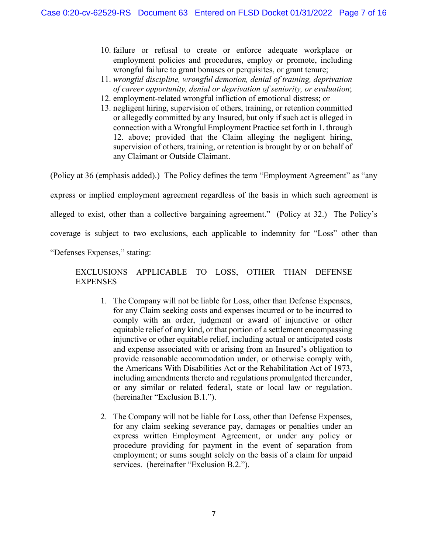- 10. failure or refusal to create or enforce adequate workplace or employment policies and procedures, employ or promote, including wrongful failure to grant bonuses or perquisites, or grant tenure;
- 11. *wrongful discipline, wrongful demotion, denial of training, deprivation of career opportunity, denial or deprivation of seniority, or evaluation*;
- 12. employment-related wrongful infliction of emotional distress; or
- 13. negligent hiring, supervision of others, training, or retention committed or allegedly committed by any Insured, but only if such act is alleged in connection with a Wrongful Employment Practice set forth in 1. through 12. above; provided that the Claim alleging the negligent hiring, supervision of others, training, or retention is brought by or on behalf of any Claimant or Outside Claimant.

(Policy at 36 (emphasis added).) The Policy defines the term "Employment Agreement" as "any express or implied employment agreement regardless of the basis in which such agreement is alleged to exist, other than a collective bargaining agreement." (Policy at 32.) The Policy's coverage is subject to two exclusions, each applicable to indemnity for "Loss" other than "Defenses Expenses," stating:

# EXCLUSIONS APPLICABLE TO LOSS, OTHER THAN DEFENSE EXPENSES

- 1. The Company will not be liable for Loss, other than Defense Expenses, for any Claim seeking costs and expenses incurred or to be incurred to comply with an order, judgment or award of injunctive or other equitable relief of any kind, or that portion of a settlement encompassing injunctive or other equitable relief, including actual or anticipated costs and expense associated with or arising from an Insured's obligation to provide reasonable accommodation under, or otherwise comply with, the Americans With Disabilities Act or the Rehabilitation Act of 1973, including amendments thereto and regulations promulgated thereunder, or any similar or related federal, state or local law or regulation. (hereinafter "Exclusion B.1.").
- 2. The Company will not be liable for Loss, other than Defense Expenses, for any claim seeking severance pay, damages or penalties under an express written Employment Agreement, or under any policy or procedure providing for payment in the event of separation from employment; or sums sought solely on the basis of a claim for unpaid services. (hereinafter "Exclusion B.2.").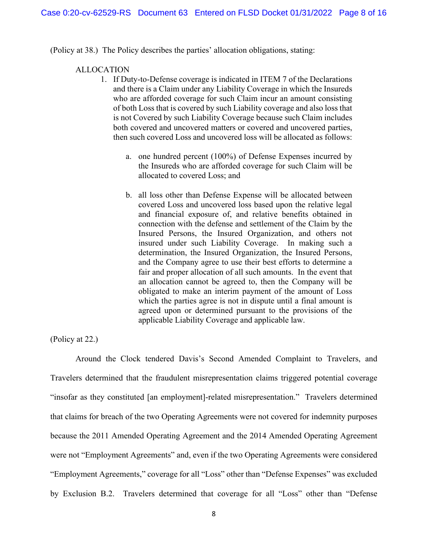(Policy at 38.) The Policy describes the parties' allocation obligations, stating:

#### ALLOCATION

- 1. If Duty-to-Defense coverage is indicated in ITEM 7 of the Declarations and there is a Claim under any Liability Coverage in which the Insureds who are afforded coverage for such Claim incur an amount consisting of both Loss that is covered by such Liability coverage and also loss that is not Covered by such Liability Coverage because such Claim includes both covered and uncovered matters or covered and uncovered parties, then such covered Loss and uncovered loss will be allocated as follows:
	- a. one hundred percent (100%) of Defense Expenses incurred by the Insureds who are afforded coverage for such Claim will be allocated to covered Loss; and
	- b. all loss other than Defense Expense will be allocated between covered Loss and uncovered loss based upon the relative legal and financial exposure of, and relative benefits obtained in connection with the defense and settlement of the Claim by the Insured Persons, the Insured Organization, and others not insured under such Liability Coverage. In making such a determination, the Insured Organization, the Insured Persons, and the Company agree to use their best efforts to determine a fair and proper allocation of all such amounts. In the event that an allocation cannot be agreed to, then the Company will be obligated to make an interim payment of the amount of Loss which the parties agree is not in dispute until a final amount is agreed upon or determined pursuant to the provisions of the applicable Liability Coverage and applicable law.

## (Policy at 22.)

Around the Clock tendered Davis's Second Amended Complaint to Travelers, and Travelers determined that the fraudulent misrepresentation claims triggered potential coverage "insofar as they constituted [an employment]-related misrepresentation." Travelers determined that claims for breach of the two Operating Agreements were not covered for indemnity purposes because the 2011 Amended Operating Agreement and the 2014 Amended Operating Agreement were not "Employment Agreements" and, even if the two Operating Agreements were considered "Employment Agreements," coverage for all "Loss" other than "Defense Expenses" was excluded by Exclusion B.2. Travelers determined that coverage for all "Loss" other than "Defense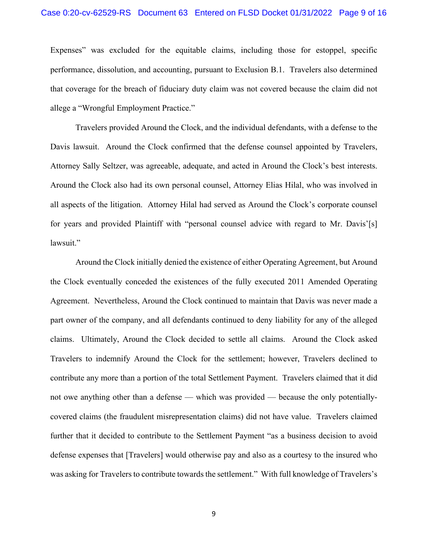#### Case 0:20-cv-62529-RS Document 63 Entered on FLSD Docket 01/31/2022 Page 9 of 16

Expenses" was excluded for the equitable claims, including those for estoppel, specific performance, dissolution, and accounting, pursuant to Exclusion B.1. Travelers also determined that coverage for the breach of fiduciary duty claim was not covered because the claim did not allege a "Wrongful Employment Practice."

Travelers provided Around the Clock, and the individual defendants, with a defense to the Davis lawsuit. Around the Clock confirmed that the defense counsel appointed by Travelers, Attorney Sally Seltzer, was agreeable, adequate, and acted in Around the Clock's best interests. Around the Clock also had its own personal counsel, Attorney Elias Hilal, who was involved in all aspects of the litigation. Attorney Hilal had served as Around the Clock's corporate counsel for years and provided Plaintiff with "personal counsel advice with regard to Mr. Davis'[s] lawsuit."

 Around the Clock initially denied the existence of either Operating Agreement, but Around the Clock eventually conceded the existences of the fully executed 2011 Amended Operating Agreement. Nevertheless, Around the Clock continued to maintain that Davis was never made a part owner of the company, and all defendants continued to deny liability for any of the alleged claims. Ultimately, Around the Clock decided to settle all claims. Around the Clock asked Travelers to indemnify Around the Clock for the settlement; however, Travelers declined to contribute any more than a portion of the total Settlement Payment. Travelers claimed that it did not owe anything other than a defense — which was provided — because the only potentiallycovered claims (the fraudulent misrepresentation claims) did not have value. Travelers claimed further that it decided to contribute to the Settlement Payment "as a business decision to avoid defense expenses that [Travelers] would otherwise pay and also as a courtesy to the insured who was asking for Travelers to contribute towards the settlement." With full knowledge of Travelers's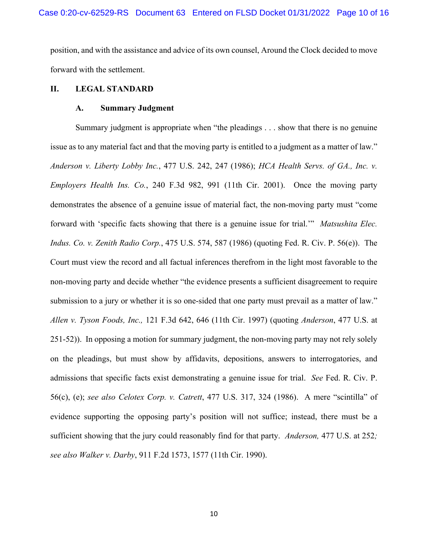position, and with the assistance and advice of its own counsel, Around the Clock decided to move forward with the settlement.

#### **II. LEGAL STANDARD**

# **A. Summary Judgment**

Summary judgment is appropriate when "the pleadings . . . show that there is no genuine issue as to any material fact and that the moving party is entitled to a judgment as a matter of law." *Anderson v. Liberty Lobby Inc.*, 477 U.S. 242, 247 (1986); *HCA Health Servs. of GA., Inc. v. Employers Health Ins. Co.*, 240 F.3d 982, 991 (11th Cir. 2001). Once the moving party demonstrates the absence of a genuine issue of material fact, the non-moving party must "come forward with 'specific facts showing that there is a genuine issue for trial.'" *Matsushita Elec. Indus. Co. v. Zenith Radio Corp.*, 475 U.S. 574, 587 (1986) (quoting Fed. R. Civ. P. 56(e)). The Court must view the record and all factual inferences therefrom in the light most favorable to the non-moving party and decide whether "the evidence presents a sufficient disagreement to require submission to a jury or whether it is so one-sided that one party must prevail as a matter of law." *Allen v. Tyson Foods, Inc.,* 121 F.3d 642, 646 (11th Cir. 1997) (quoting *Anderson*, 477 U.S. at 251-52)). In opposing a motion for summary judgment, the non-moving party may not rely solely on the pleadings, but must show by affidavits, depositions, answers to interrogatories, and admissions that specific facts exist demonstrating a genuine issue for trial. *See* Fed. R. Civ. P. 56(c), (e); *see also Celotex Corp. v. Catrett*, 477 U.S. 317, 324 (1986). A mere "scintilla" of evidence supporting the opposing party's position will not suffice; instead, there must be a sufficient showing that the jury could reasonably find for that party. *Anderson,* 477 U.S. at 252*; see also Walker v. Darby*, 911 F.2d 1573, 1577 (11th Cir. 1990).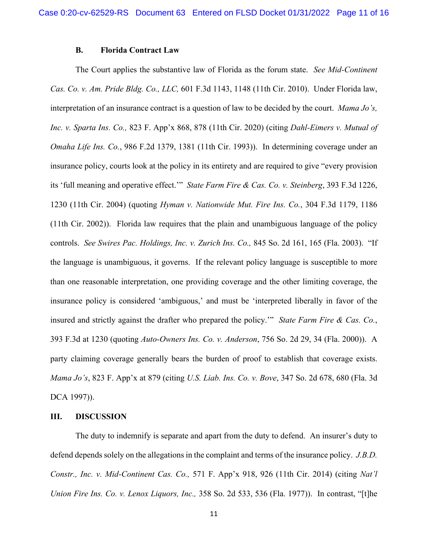### **B. Florida Contract Law**

The Court applies the substantive law of Florida as the forum state. *See Mid-Continent Cas. Co. v. Am. Pride Bldg. Co., LLC,* 601 F.3d 1143, 1148 (11th Cir. 2010). Under Florida law, interpretation of an insurance contract is a question of law to be decided by the court. *Mama Jo's, Inc. v. Sparta Ins. Co.,* 823 F. App'x 868, 878 (11th Cir. 2020) (citing *Dahl-Eimers v. Mutual of Omaha Life Ins. Co.*, 986 F.2d 1379, 1381 (11th Cir. 1993)). In determining coverage under an insurance policy, courts look at the policy in its entirety and are required to give "every provision its 'full meaning and operative effect.'" *State Farm Fire & Cas. Co. v. Steinberg*, 393 F.3d 1226, 1230 (11th Cir. 2004) (quoting *Hyman v. Nationwide Mut. Fire Ins. Co.*, 304 F.3d 1179, 1186 (11th Cir. 2002)). Florida law requires that the plain and unambiguous language of the policy controls. *See Swires Pac. Holdings, Inc. v. Zurich Ins. Co.,* 845 So. 2d 161, 165 (Fla. 2003). "If the language is unambiguous, it governs. If the relevant policy language is susceptible to more than one reasonable interpretation, one providing coverage and the other limiting coverage, the insurance policy is considered 'ambiguous,' and must be 'interpreted liberally in favor of the insured and strictly against the drafter who prepared the policy.'" *State Farm Fire & Cas. Co.*, 393 F.3d at 1230 (quoting *Auto-Owners Ins. Co. v. Anderson*, 756 So. 2d 29, 34 (Fla. 2000)). A party claiming coverage generally bears the burden of proof to establish that coverage exists. *Mama Jo's*, 823 F. App'x at 879 (citing *U.S. Liab. Ins. Co. v. Bove*, 347 So. 2d 678, 680 (Fla. 3d DCA 1997)).

#### **III. DISCUSSION**

The duty to indemnify is separate and apart from the duty to defend. An insurer's duty to defend depends solely on the allegations in the complaint and terms of the insurance policy. *J.B.D. Constr., Inc. v. Mid-Continent Cas. Co.,* 571 F. App'x 918, 926 (11th Cir. 2014) (citing *Nat'l Union Fire Ins. Co. v. Lenox Liquors, Inc.,* 358 So. 2d 533, 536 (Fla. 1977)). In contrast, "[t]he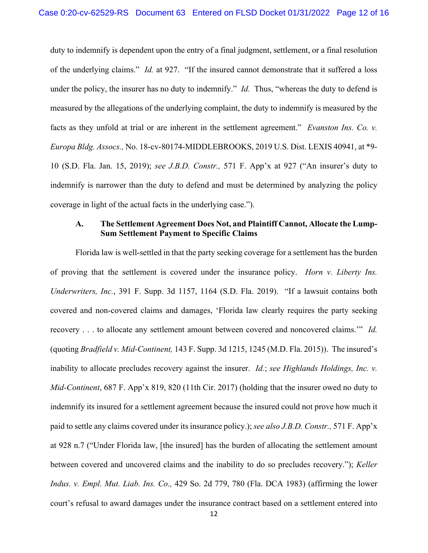duty to indemnify is dependent upon the entry of a final judgment, settlement, or a final resolution of the underlying claims." *Id.* at 927. "If the insured cannot demonstrate that it suffered a loss under the policy, the insurer has no duty to indemnify." *Id.* Thus, "whereas the duty to defend is measured by the allegations of the underlying complaint, the duty to indemnify is measured by the facts as they unfold at trial or are inherent in the settlement agreement." *Evanston Ins. Co. v. Europa Bldg. Assocs.,* No. 18-cv-80174-MIDDLEBROOKS, 2019 U.S. Dist. LEXIS 40941, at \*9- 10 (S.D. Fla. Jan. 15, 2019); *see J.B.D. Constr.,* 571 F. App'x at 927 ("An insurer's duty to indemnify is narrower than the duty to defend and must be determined by analyzing the policy coverage in light of the actual facts in the underlying case.").

# **A. The Settlement Agreement Does Not, and Plaintiff Cannot, Allocate the Lump-Sum Settlement Payment to Specific Claims**

Florida law is well-settled in that the party seeking coverage for a settlement has the burden of proving that the settlement is covered under the insurance policy. *Horn v. Liberty Ins. Underwriters, Inc.*, 391 F. Supp. 3d 1157, 1164 (S.D. Fla. 2019). "If a lawsuit contains both covered and non-covered claims and damages, 'Florida law clearly requires the party seeking recovery . . . to allocate any settlement amount between covered and noncovered claims.'" *Id.* (quoting *Bradfield v. Mid-Continent,* 143 F. Supp. 3d 1215, 1245 (M.D. Fla. 2015)). The insured's inability to allocate precludes recovery against the insurer. *Id.*; *see Highlands Holdings, Inc. v. Mid-Continent*, 687 F. App'x 819, 820 (11th Cir. 2017) (holding that the insurer owed no duty to indemnify its insured for a settlement agreement because the insured could not prove how much it paid to settle any claims covered under its insurance policy.); *see also J.B.D. Constr.,* 571 F. App'x at 928 n.7 ("Under Florida law, [the insured] has the burden of allocating the settlement amount between covered and uncovered claims and the inability to do so precludes recovery."); *Keller Indus. v. Empl. Mut. Liab. Ins. Co.,* 429 So. 2d 779, 780 (Fla. DCA 1983) (affirming the lower court's refusal to award damages under the insurance contract based on a settlement entered into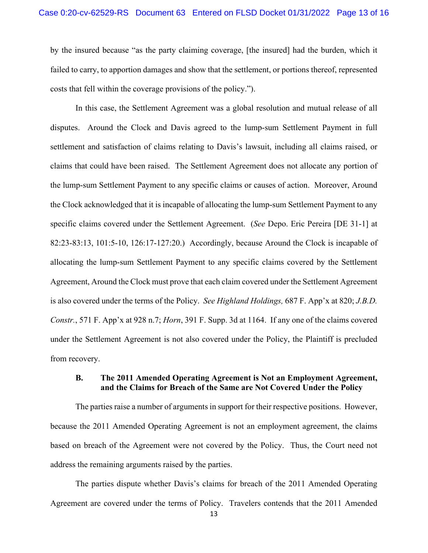by the insured because "as the party claiming coverage, [the insured] had the burden, which it failed to carry, to apportion damages and show that the settlement, or portions thereof, represented costs that fell within the coverage provisions of the policy.").

In this case, the Settlement Agreement was a global resolution and mutual release of all disputes. Around the Clock and Davis agreed to the lump-sum Settlement Payment in full settlement and satisfaction of claims relating to Davis's lawsuit, including all claims raised, or claims that could have been raised. The Settlement Agreement does not allocate any portion of the lump-sum Settlement Payment to any specific claims or causes of action. Moreover, Around the Clock acknowledged that it is incapable of allocating the lump-sum Settlement Payment to any specific claims covered under the Settlement Agreement. (*See* Depo. Eric Pereira [DE 31-1] at 82:23-83:13, 101:5-10, 126:17-127:20.) Accordingly, because Around the Clock is incapable of allocating the lump-sum Settlement Payment to any specific claims covered by the Settlement Agreement, Around the Clock must prove that each claim covered under the Settlement Agreement is also covered under the terms of the Policy. *See Highland Holdings,* 687 F. App'x at 820; *J.B.D. Constr.*, 571 F. App'x at 928 n.7; *Horn*, 391 F. Supp. 3d at 1164. If any one of the claims covered under the Settlement Agreement is not also covered under the Policy, the Plaintiff is precluded from recovery.

## **B. The 2011 Amended Operating Agreement is Not an Employment Agreement, and the Claims for Breach of the Same are Not Covered Under the Policy**

The parties raise a number of arguments in support for their respective positions. However, because the 2011 Amended Operating Agreement is not an employment agreement, the claims based on breach of the Agreement were not covered by the Policy. Thus, the Court need not address the remaining arguments raised by the parties.

The parties dispute whether Davis's claims for breach of the 2011 Amended Operating Agreement are covered under the terms of Policy. Travelers contends that the 2011 Amended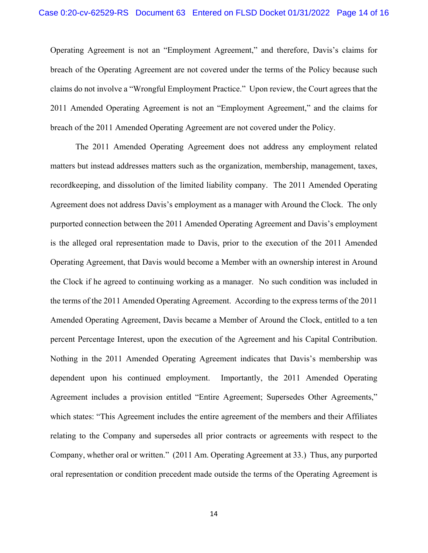Operating Agreement is not an "Employment Agreement," and therefore, Davis's claims for breach of the Operating Agreement are not covered under the terms of the Policy because such claims do not involve a "Wrongful Employment Practice." Upon review, the Court agrees that the 2011 Amended Operating Agreement is not an "Employment Agreement," and the claims for breach of the 2011 Amended Operating Agreement are not covered under the Policy.

The 2011 Amended Operating Agreement does not address any employment related matters but instead addresses matters such as the organization, membership, management, taxes, recordkeeping, and dissolution of the limited liability company. The 2011 Amended Operating Agreement does not address Davis's employment as a manager with Around the Clock. The only purported connection between the 2011 Amended Operating Agreement and Davis's employment is the alleged oral representation made to Davis, prior to the execution of the 2011 Amended Operating Agreement, that Davis would become a Member with an ownership interest in Around the Clock if he agreed to continuing working as a manager. No such condition was included in the terms of the 2011 Amended Operating Agreement. According to the express terms of the 2011 Amended Operating Agreement, Davis became a Member of Around the Clock, entitled to a ten percent Percentage Interest, upon the execution of the Agreement and his Capital Contribution. Nothing in the 2011 Amended Operating Agreement indicates that Davis's membership was dependent upon his continued employment. Importantly, the 2011 Amended Operating Agreement includes a provision entitled "Entire Agreement; Supersedes Other Agreements," which states: "This Agreement includes the entire agreement of the members and their Affiliates relating to the Company and supersedes all prior contracts or agreements with respect to the Company, whether oral or written." (2011 Am. Operating Agreement at 33.) Thus, any purported oral representation or condition precedent made outside the terms of the Operating Agreement is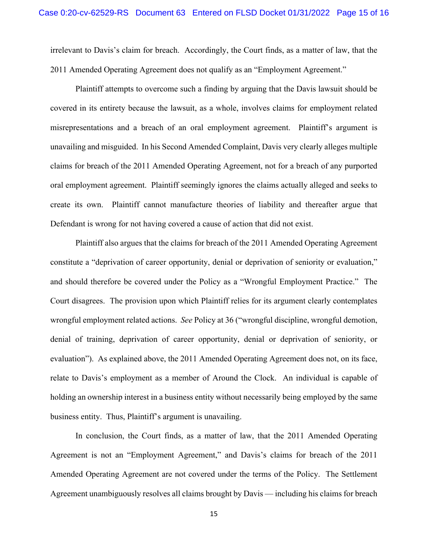irrelevant to Davis's claim for breach. Accordingly, the Court finds, as a matter of law, that the 2011 Amended Operating Agreement does not qualify as an "Employment Agreement."

Plaintiff attempts to overcome such a finding by arguing that the Davis lawsuit should be covered in its entirety because the lawsuit, as a whole, involves claims for employment related misrepresentations and a breach of an oral employment agreement. Plaintiff's argument is unavailing and misguided. In his Second Amended Complaint, Davis very clearly alleges multiple claims for breach of the 2011 Amended Operating Agreement, not for a breach of any purported oral employment agreement. Plaintiff seemingly ignores the claims actually alleged and seeks to create its own. Plaintiff cannot manufacture theories of liability and thereafter argue that Defendant is wrong for not having covered a cause of action that did not exist.

Plaintiff also argues that the claims for breach of the 2011 Amended Operating Agreement constitute a "deprivation of career opportunity, denial or deprivation of seniority or evaluation," and should therefore be covered under the Policy as a "Wrongful Employment Practice." The Court disagrees. The provision upon which Plaintiff relies for its argument clearly contemplates wrongful employment related actions. *See* Policy at 36 ("wrongful discipline, wrongful demotion, denial of training, deprivation of career opportunity, denial or deprivation of seniority, or evaluation"). As explained above, the 2011 Amended Operating Agreement does not, on its face, relate to Davis's employment as a member of Around the Clock. An individual is capable of holding an ownership interest in a business entity without necessarily being employed by the same business entity. Thus, Plaintiff's argument is unavailing.

In conclusion, the Court finds, as a matter of law, that the 2011 Amended Operating Agreement is not an "Employment Agreement," and Davis's claims for breach of the 2011 Amended Operating Agreement are not covered under the terms of the Policy. The Settlement Agreement unambiguously resolves all claims brought by Davis — including his claims for breach